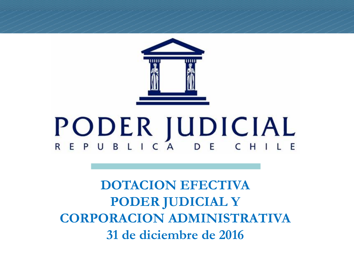

# **PODER JUDICIAL**

**DOTACION EFECTIVA PODER JUDICIAL Y CORPORACION ADMINISTRATIVA 31 de diciembre de 2016**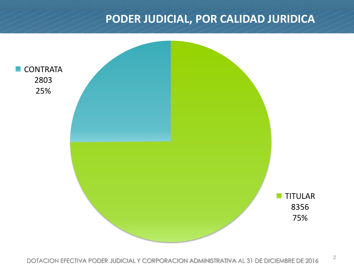#### **PODER JUDICIAL, POR CALIDAD JURIDICA**

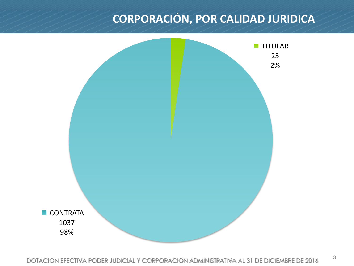## **CORPORACIÓN, POR CALIDAD JURIDICA**

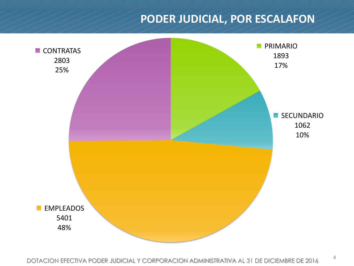#### **PODER JUDICIAL, POR ESCALAFON**

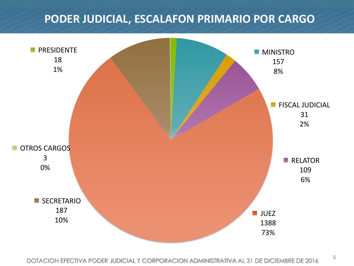#### **PODER JUDICIAL, ESCALAFON PRIMARIO POR CARGO**

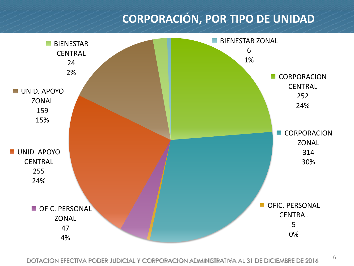## **CORPORACIÓN, POR TIPO DE UNIDAD**



DOTACION EFECTIVA PODER JUDICIAL Y CORPORACION ADMINISTRATIVA AL 31 DE DICIEMBRE DE 2016<sup>6</sup>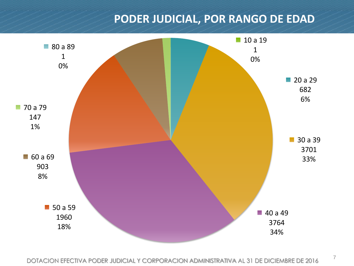#### **PODER JUDICIAL, POR RANGO DE EDAD**

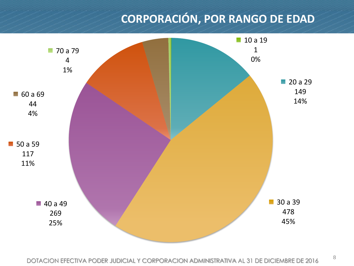## **CORPORACIÓN, POR RANGO DE EDAD**

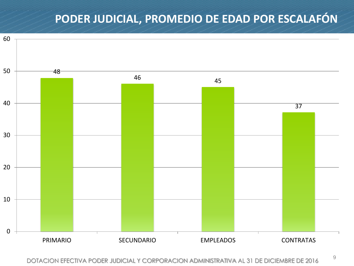## **PODER JUDICIAL, PROMEDIO DE EDAD POR ESCALAFÓN**



DOTACION EFECTIVA PODER JUDICIAL Y CORPORACION ADMINISTRATIVA AL 31 DE DICIEMBRE DE 2016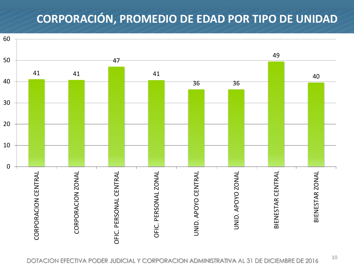## **CORPORACIÓN, PROMEDIO DE EDAD POR TIPO DE UNIDAD**

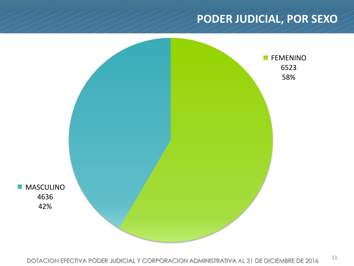#### **PODER JUDICIAL, POR SEXO**

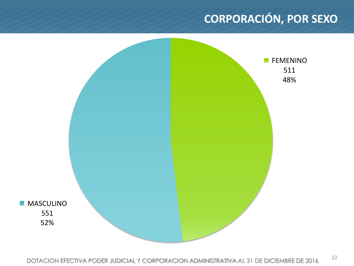## **CORPORACIÓN, POR SEXO**

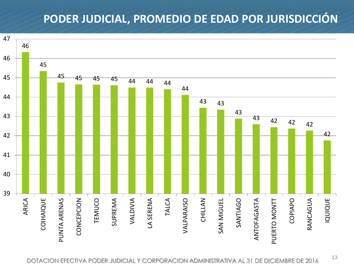## **PODER JUDICIAL, PROMEDIO DE EDAD POR JURISDICCIÓN**

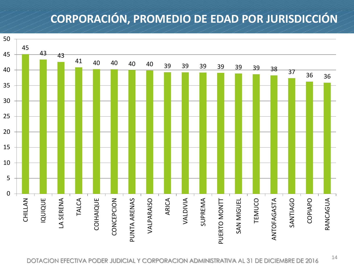## **CORPORACIÓN, PROMEDIO DE EDAD POR JURISDICCIÓN**

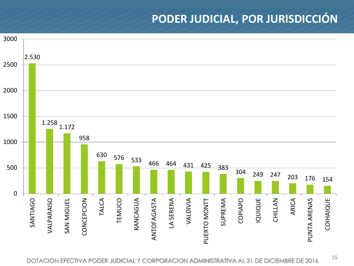#### **PODER JUDICIAL, POR JURISDICCIÓN**

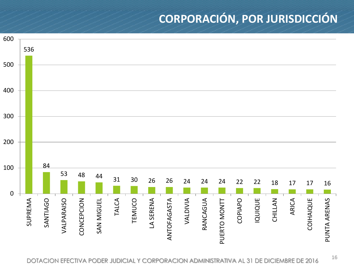## **CORPORACIÓN, POR JURISDICCIÓN**

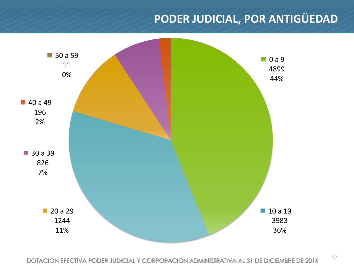## **PODER JUDICIAL, POR ANTIGÜEDAD**

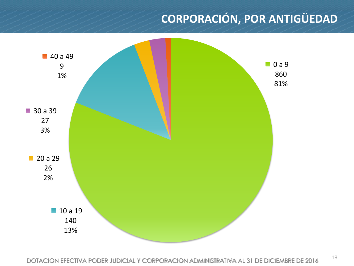# **CORPORACIÓN, POR ANTIGÜEDAD**

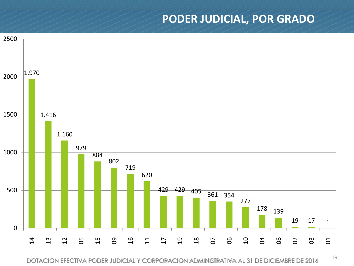#### **PODER JUDICIAL, POR GRADO**



DOTACION EFECTIVA PODER JUDICIAL Y CORPORACION ADMINISTRATIVA AL 31 DE DICIEMBRE DE 2016